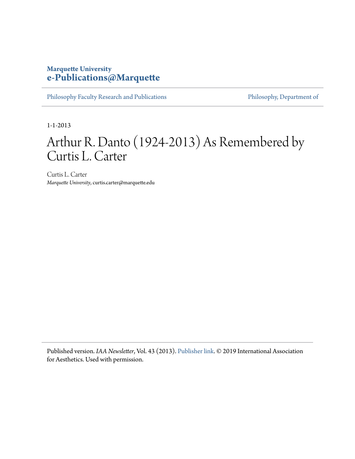#### **Marquette University [e-Publications@Marquette](https://epublications.marquette.edu)**

[Philosophy Faculty Research and Publications](https://epublications.marquette.edu/phil_fac) [Philosophy, Department of](https://epublications.marquette.edu/philosophy)

1-1-2013

## Arthur R. Danto (1924-2013) As Remembered by Curtis L. Carter

Curtis L. Carter *Marquette University*, curtis.carter@marquette.edu

Published version. *IAA Newsletter*, Vol. 43 (2013). [Publisher link.](https://iaaesthetics.org/) © 2019 International Association for Aesthetics. Used with permission.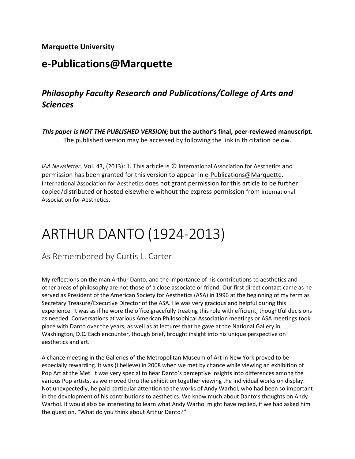#### **Marquette University**

## **e-Publications@Marquette**

### *Philosophy Faculty Research and Publications/College of Arts and Sciences*

*This paper is NOT THE PUBLISHED VERSION;* **but the author's final, peer-reviewed manuscript.**  The published version may be accessed by following the link in th citation below.

*IAA Newsletter*, Vol. 43, (2013): 1. This article is © International Association for Aesthetics and permission has been granted for this version to appear in [e-Publications@Marquette.](http://epublications.marquette.edu/) International Association for Aesthetics does not grant permission for this article to be further copied/distributed or hosted elsewhere without the express permission from International Association for Aesthetics.

# ARTHUR DANTO (1924-2013)

As Remembered by Curtis L. Carter

My reflections on the man Arthur Danto, and the importance of his contributions to aesthetics and other areas of philosophy are not those of a close associate or friend. Our first direct contact came as he served as President of the American Society for Aesthetics (ASA) in 1996 at the beginning of my term as Secretary Treasure/Executive Director of the ASA. He was very gracious and helpful during this experience. It was as if he wore the office gracefully treating this role with efficient, thoughtful decisions as needed. Conversations at various American Philosophical Association meetings or ASA meetings took place with Danto over the years, as well as at lectures that he gave at the National Gallery in Washington, D.C. Each encounter, though brief, brought insight into his unique perspective on aesthetics and art.

A chance meeting in the Galleries of the Metropolitan Museum of Art in New York proved to be especially rewarding. It was (I believe) in 2008 when we met by chance while viewing an exhibition of Pop Art at the Met. It was very special to hear Danto's perceptive insights into differences among the various Pop artists, as we moved thru the exhibition together viewing the individual works on display. Not unexpectedly, he paid particular attention to the works of Andy Warhol, who had been so important in the development of his contributions to aesthetics. We know much about Danto's thoughts on Andy Warhol. It would also be interesting to learn what Andy Warhol might have replied, if we had asked him the question, "What do you think about Arthur Danto?"